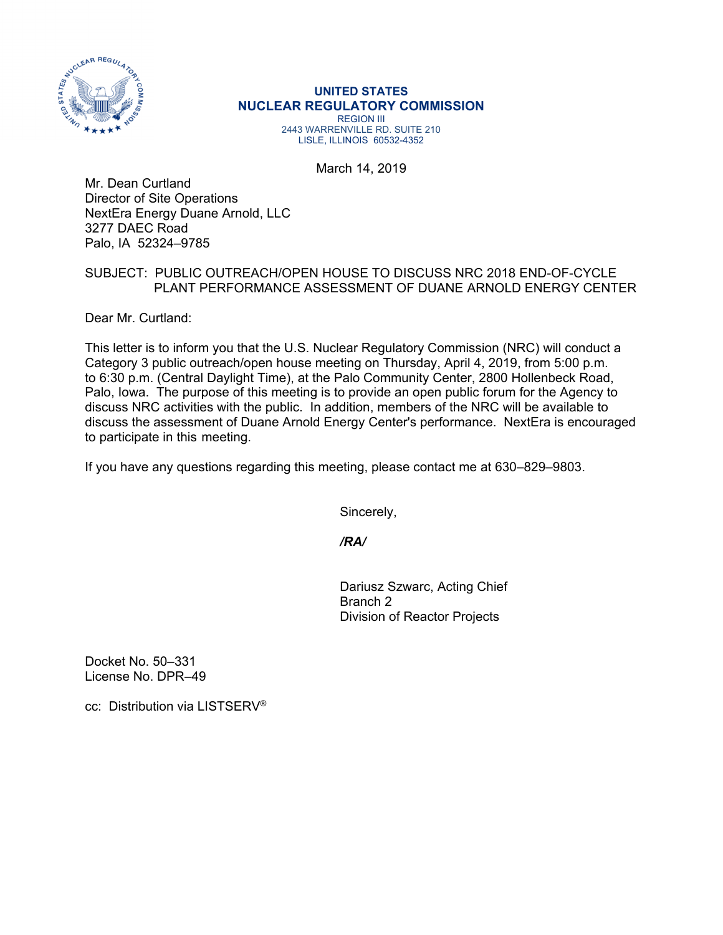

## **UNITED STATES NUCLEAR REGULATORY COMMISSION**

REGION III 2443 WARRENVILLE RD. SUITE 210 LISLE, ILLINOIS 60532-4352

March 14, 2019

Mr. Dean Curtland Director of Site Operations NextEra Energy Duane Arnold, LLC 3277 DAEC Road Palo, IA 52324–9785

## SUBJECT: PUBLIC OUTREACH/OPEN HOUSE TO DISCUSS NRC 2018 END-OF-CYCLE PLANT PERFORMANCE ASSESSMENT OF DUANE ARNOLD ENERGY CENTER

Dear Mr. Curtland:

This letter is to inform you that the U.S. Nuclear Regulatory Commission (NRC) will conduct a Category 3 public outreach/open house meeting on Thursday, April 4, 2019, from 5:00 p.m. to 6:30 p.m. (Central Daylight Time), at the Palo Community Center, 2800 Hollenbeck Road, Palo, Iowa. The purpose of this meeting is to provide an open public forum for the Agency to discuss NRC activities with the public. In addition, members of the NRC will be available to discuss the assessment of Duane Arnold Energy Center's performance. NextEra is encouraged to participate in this meeting.

If you have any questions regarding this meeting, please contact me at 630–829–9803.

Sincerely,

*/RA/* 

Dariusz Szwarc, Acting Chief Branch 2 Division of Reactor Projects

Docket No. 50–331 License No. DPR–49

cc: Distribution via LISTSERV®